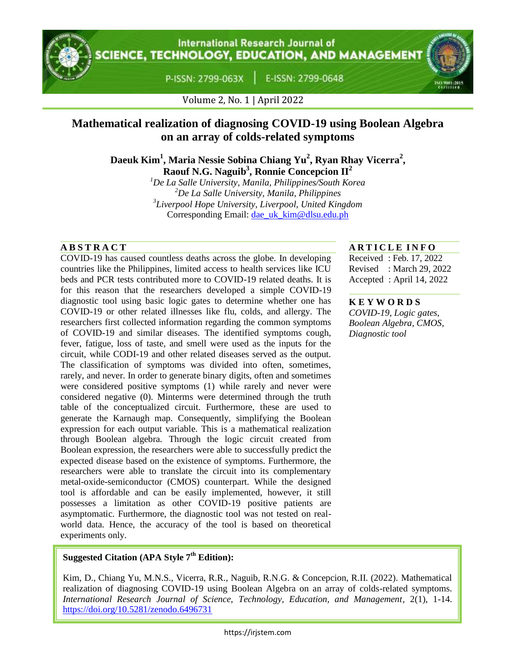

**International Research Journal of CIENCE, TECHNOLOGY, EDUCATION, AND MANAGEMENT** 

P-ISSN: 2799-063X

E-ISSN: 2799-0648



Volume 2, No. 1 | April 2022

# **Mathematical realization of diagnosing COVID-19 using Boolean Algebra on an array of colds-related symptoms**

**Daeuk Kim<sup>1</sup> , Maria Nessie Sobina Chiang Yu<sup>2</sup> , Ryan Rhay Vicerra<sup>2</sup> , Raouf N.G. Naguib<sup>3</sup> , Ronnie Concepcion II<sup>2</sup>**

*De La Salle University, Manila, Philippines/South Korea De La Salle University, Manila, Philippines Liverpool Hope University, Liverpool, United Kingdom* Corresponding Email: [dae\\_uk\\_kim@dlsu.edu.ph](mailto:dae_uk_kim@dlsu.edu.ph)

COVID-19 has caused countless deaths across the globe. In developing countries like the Philippines, limited access to health services like ICU beds and PCR tests contributed more to COVID-19 related deaths. It is for this reason that the researchers developed a simple COVID-19 diagnostic tool using basic logic gates to determine whether one has COVID-19 or other related illnesses like flu, colds, and allergy. The researchers first collected information regarding the common symptoms of COVID-19 and similar diseases. The identified symptoms cough, fever, fatigue, loss of taste, and smell were used as the inputs for the circuit, while CODI-19 and other related diseases served as the output. The classification of symptoms was divided into often, sometimes, rarely, and never. In order to generate binary digits, often and sometimes were considered positive symptoms (1) while rarely and never were considered negative (0). Minterms were determined through the truth table of the conceptualized circuit. Furthermore, these are used to generate the Karnaugh map. Consequently, simplifying the Boolean expression for each output variable. This is a mathematical realization through Boolean algebra. Through the logic circuit created from Boolean expression, the researchers were able to successfully predict the expected disease based on the existence of symptoms. Furthermore, the researchers were able to translate the circuit into its complementary metal-oxide-semiconductor (CMOS) counterpart. While the designed tool is affordable and can be easily implemented, however, it still possesses a limitation as other COVID-19 positive patients are asymptomatic. Furthermore, the diagnostic tool was not tested on realworld data. Hence, the accuracy of the tool is based on theoretical experiments only.

# **A B S T R A C T A R T I C L E I N F O**

Received : Feb. 17, 2022 Revised : March 29, 2022 Accepted : April 14, 2022

#### **K E Y W O R D S**

*COVID-19, Logic gates, Boolean Algebra, CMOS, Diagnostic tool*

# **Suggested Citation (APA Style 7th Edition):**

Kim, D., Chiang Yu, M.N.S., Vicerra, R.R., Naguib, R.N.G. & Concepcion, R.II. (2022). Mathematical realization of diagnosing COVID-19 using Boolean Algebra on an array of colds-related symptoms. *International Research Journal of Science, Technology, Education, and Management*, 2(1), 1-14. <https://doi.org/10.5281/zenodo.6496731>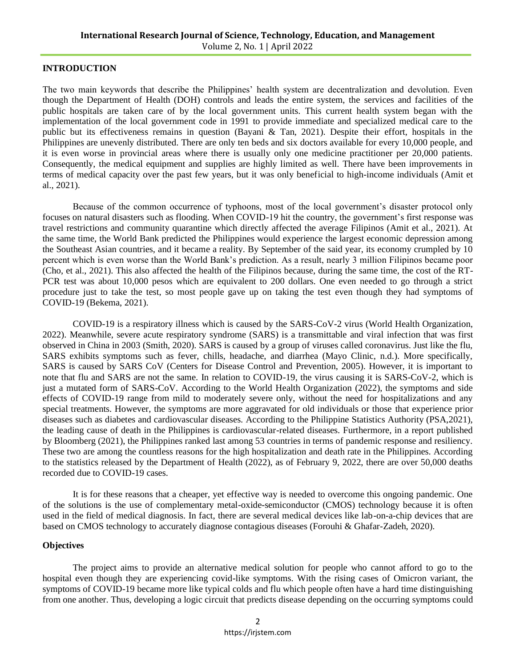#### **INTRODUCTION**

The two main keywords that describe the Philippines' health system are decentralization and devolution. Even though the Department of Health (DOH) controls and leads the entire system, the services and facilities of the public hospitals are taken care of by the local government units. This current health system began with the implementation of the local government code in 1991 to provide immediate and specialized medical care to the public but its effectiveness remains in question (Bayani & Tan, 2021). Despite their effort, hospitals in the Philippines are unevenly distributed. There are only ten beds and six doctors available for every 10,000 people, and it is even worse in provincial areas where there is usually only one medicine practitioner per 20,000 patients. Consequently, the medical equipment and supplies are highly limited as well. There have been improvements in terms of medical capacity over the past few years, but it was only beneficial to high-income individuals (Amit et al., 2021).

Because of the common occurrence of typhoons, most of the local government's disaster protocol only focuses on natural disasters such as flooding. When COVID-19 hit the country, the government's first response was travel restrictions and community quarantine which directly affected the average Filipinos (Amit et al., 2021). At the same time, the World Bank predicted the Philippines would experience the largest economic depression among the Southeast Asian countries, and it became a reality. By September of the said year, its economy crumpled by 10 percent which is even worse than the World Bank's prediction. As a result, nearly 3 million Filipinos became poor (Cho, et al., 2021). This also affected the health of the Filipinos because, during the same time, the cost of the RT-PCR test was about 10,000 pesos which are equivalent to 200 dollars. One even needed to go through a strict procedure just to take the test, so most people gave up on taking the test even though they had symptoms of COVID-19 (Bekema, 2021).

COVID-19 is a respiratory illness which is caused by the SARS-CoV-2 virus (World Health Organization, 2022). Meanwhile, severe acute respiratory syndrome (SARS) is a transmittable and viral infection that was first observed in China in 2003 (Smith, 2020). SARS is caused by a group of viruses called coronavirus. Just like the flu, SARS exhibits symptoms such as fever, chills, headache, and diarrhea (Mayo Clinic, n.d.). More specifically, SARS is caused by SARS CoV (Centers for Disease Control and Prevention, 2005). However, it is important to note that flu and SARS are not the same. In relation to COVID-19, the virus causing it is SARS-CoV-2, which is just a mutated form of SARS-CoV. According to the World Health Organization (2022), the symptoms and side effects of COVID-19 range from mild to moderately severe only, without the need for hospitalizations and any special treatments. However, the symptoms are more aggravated for old individuals or those that experience prior diseases such as diabetes and cardiovascular diseases. According to the Philippine Statistics Authority (PSA,2021), the leading cause of death in the Philippines is cardiovascular-related diseases. Furthermore, in a report published by Bloomberg (2021), the Philippines ranked last among 53 countries in terms of pandemic response and resiliency. These two are among the countless reasons for the high hospitalization and death rate in the Philippines. According to the statistics released by the Department of Health (2022), as of February 9, 2022, there are over 50,000 deaths recorded due to COVID-19 cases.

It is for these reasons that a cheaper, yet effective way is needed to overcome this ongoing pandemic. One of the solutions is the use of complementary metal-oxide-semiconductor (CMOS) technology because it is often used in the field of medical diagnosis. In fact, there are several medical devices like lab-on-a-chip devices that are based on CMOS technology to accurately diagnose contagious diseases (Forouhi & Ghafar-Zadeh, 2020).

#### **Objectives**

The project aims to provide an alternative medical solution for people who cannot afford to go to the hospital even though they are experiencing covid-like symptoms. With the rising cases of Omicron variant, the symptoms of COVID-19 became more like typical colds and flu which people often have a hard time distinguishing from one another. Thus, developing a logic circuit that predicts disease depending on the occurring symptoms could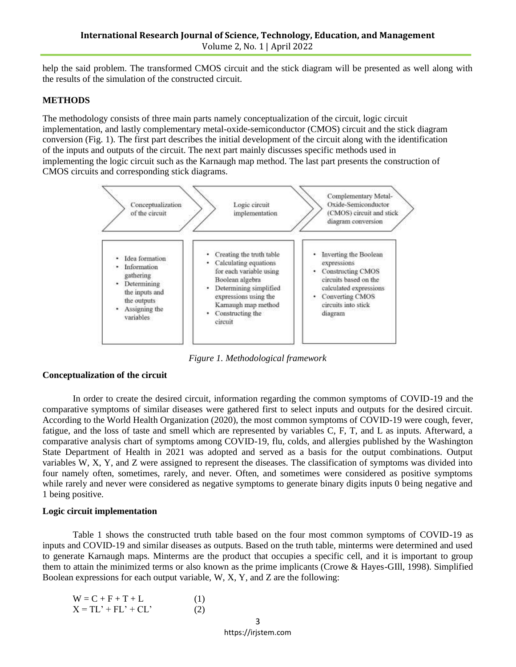help the said problem. The transformed CMOS circuit and the stick diagram will be presented as well along with the results of the simulation of the constructed circuit.

### **METHODS**

The methodology consists of three main parts namely conceptualization of the circuit, logic circuit implementation, and lastly complementary metal-oxide-semiconductor (CMOS) circuit and the stick diagram conversion (Fig. 1). The first part describes the initial development of the circuit along with the identification of the inputs and outputs of the circuit. The next part mainly discusses specific methods used in implementing the logic circuit such as the Karnaugh map method. The last part presents the construction of CMOS circuits and corresponding stick diagrams.



*Figure 1. Methodological framework*

# **Conceptualization of the circuit**

In order to create the desired circuit, information regarding the common symptoms of COVID-19 and the comparative symptoms of similar diseases were gathered first to select inputs and outputs for the desired circuit. According to the World Health Organization (2020), the most common symptoms of COVID-19 were cough, fever, fatigue, and the loss of taste and smell which are represented by variables C, F, T, and L as inputs. Afterward, a comparative analysis chart of symptoms among COVID-19, flu, colds, and allergies published by the Washington State Department of Health in 2021 was adopted and served as a basis for the output combinations. Output variables W, X, Y, and Z were assigned to represent the diseases. The classification of symptoms was divided into four namely often, sometimes, rarely, and never. Often, and sometimes were considered as positive symptoms while rarely and never were considered as negative symptoms to generate binary digits inputs 0 being negative and 1 being positive.

### **Logic circuit implementation**

Table 1 shows the constructed truth table based on the four most common symptoms of COVID-19 as inputs and COVID-19 and similar diseases as outputs. Based on the truth table, minterms were determined and used to generate Karnaugh maps. Minterms are the product that occupies a specific cell, and it is important to group them to attain the minimized terms or also known as the prime implicants (Crowe & Hayes-GIll, 1998). Simplified Boolean expressions for each output variable, W, X, Y, and Z are the following:

| $W = C + F + T + L$   | (1) |
|-----------------------|-----|
| $X = TL' + FL' + CL'$ | (2) |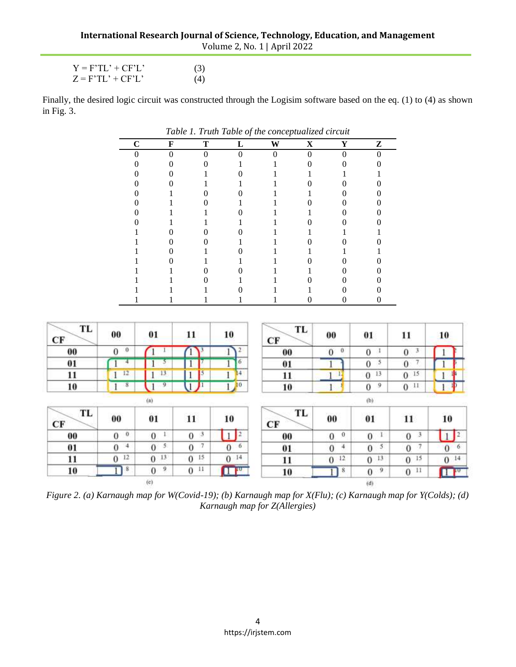| $Y = F'TL' + CF'L'$ | (3) |
|---------------------|-----|
| $Z = F'TL' + CF'L'$ | (4) |

Finally, the desired logic circuit was constructed through the Logisim software based on the eq. (1) to (4) as shown in Fig. 3.

| Table 1. Truth Table of the conceptualized circuit |   |   |   |   |   |   |   |
|----------------------------------------------------|---|---|---|---|---|---|---|
| $\mathsf{C}$                                       | F | т | L | W | X | Y | Z |
|                                                    |   |   |   |   |   |   |   |
|                                                    |   |   |   |   |   |   |   |
|                                                    |   |   |   |   |   |   |   |
|                                                    |   |   |   |   |   |   |   |
|                                                    |   |   |   |   |   |   |   |
|                                                    |   |   |   |   |   |   |   |
|                                                    |   |   |   |   |   |   |   |
|                                                    |   |   |   |   |   |   |   |
|                                                    |   |   |   |   |   |   |   |
|                                                    |   |   |   |   |   |   |   |
|                                                    |   |   |   |   |   |   |   |
|                                                    |   |   |   |   |   |   |   |
|                                                    |   |   |   |   |   |   |   |
|                                                    |   |   |   |   |   |   |   |
|                                                    |   |   |   |   |   |   |   |
|                                                    |   |   |   |   |   |   |   |

| TL<br>CF | 00                      | 01                         | 11                              | 10              | TL<br>CF | 00                       | 01                  | 11                   | 10                                   |
|----------|-------------------------|----------------------------|---------------------------------|-----------------|----------|--------------------------|---------------------|----------------------|--------------------------------------|
| 00       | o<br>$\bf{0}$           |                            |                                 | $\mathbf{r}$    | 00       | 0<br>$\bf{0}$            | $\overline{0}$      | 3<br>$\bf{0}$        |                                      |
| 01       |                         |                            |                                 | 6               | 01       |                          | 5<br>$\bf{0}$       | 7.<br>$\overline{0}$ |                                      |
| 11       | 12                      | 13                         | 15                              | 14              | 11       | н                        | 13<br>$\theta$      | 0 <sup>15</sup>      |                                      |
| 10       | $\overline{\mathbf{8}}$ | 9                          |                                 | 10              | 10       |                          | 9<br>$\overline{0}$ | 0 <sup>11</sup>      |                                      |
|          |                         | (a)                        |                                 |                 |          |                          | (b)                 |                      |                                      |
| TL<br>CF | 00                      | $\overline{\mathbf{0}}$    | 11                              | 10              | TL<br>CF | 00                       | 01                  | 11                   | 10                                   |
| 00       | Ü<br>$\bf{0}$           | 1<br>$\theta$              | $\mathcal{F}$<br>$\overline{0}$ | 1 <sup>2</sup>  | 00       | $\theta$<br>$\mathbf{0}$ | $\mathbf{0}$        | 3<br>$\mathbf{0}$    | $\vert$ <sup>2</sup><br>$\mathbf{1}$ |
| 01       | 4<br>$\theta$           | 5<br>$\theta$              | $\tau$<br>$\overline{0}$        | 6<br>$\bf{0}$   | 01       | $\mathbf{0}$<br>4        | 5<br>$\bf{0}$       | 7<br>$\overline{0}$  | 6<br>$\overline{0}$                  |
| 11       | 12<br>0                 | $0^{13}$                   | 15<br>$\mathbf{0}$              | 0 <sup>14</sup> | 11       | 12<br>$\overline{0}$     | 13<br>$\mathbf{0}$  | 15<br>$\mathbf{0}$   | 0 <sup>14</sup>                      |
| 10       | $\,$                    | 9<br>$\bf{0}$              | $_{11}$<br>$\mathbf 0$          | $\mathbf{u}$    | 10       | $\bf 8$                  | 9<br>$\theta$       | 11<br>$\bf{0}$       | $\mathbf{H}$                         |
|          |                         | $\left( \mathbf{c}\right)$ |                                 |                 |          |                          | (d)                 |                      |                                      |

*Figure 2. (a) Karnaugh map for W(Covid-19); (b) Karnaugh map for X(Flu); (c) Karnaugh map for Y(Colds); (d) Karnaugh map for Z(Allergies)*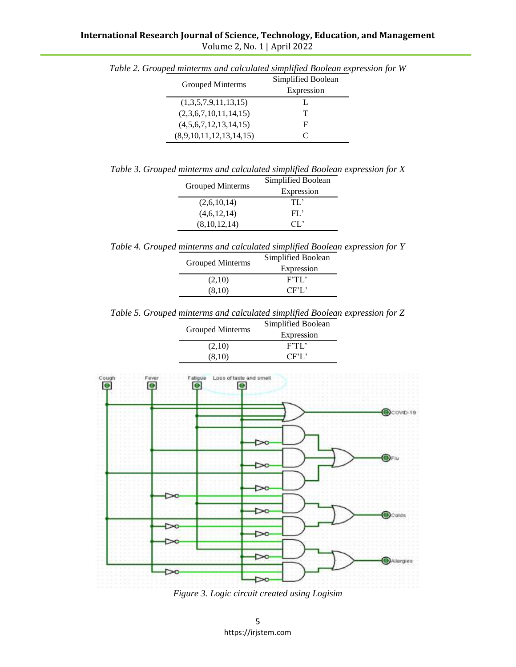| Grouped Minterms        | Simplified Boolean<br>Expression |
|-------------------------|----------------------------------|
| (1,3,5,7,9,11,13,15)    |                                  |
| (2,3,6,7,10,11,14,15)   | Т                                |
| (4,5,6,7,12,13,14,15)   | F                                |
| (8,9,10,11,12,13,14,15) | C                                |

*Table 2. Grouped minterms and calculated simplified Boolean expression for W*

*Table 3. Grouped minterms and calculated simplified Boolean expression for X*

| Simplified Boolean |
|--------------------|
| Expression         |
| TL.                |
| $FL^*$             |
| CL.                |
|                    |

*Table 4. Grouped minterms and calculated simplified Boolean expression for Y*

| <b>Grouped Minterms</b> | Simplified Boolean |  |
|-------------------------|--------------------|--|
|                         | Expression         |  |
| (2,10)                  | F'TL'              |  |
| (8,10)                  | CF'L'              |  |

*Table 5. Grouped minterms and calculated simplified Boolean expression for Z*

|                  | Simplified Boolean |  |
|------------------|--------------------|--|
| Grouped Minterms | Expression         |  |
| (2,10)           | F'TL'              |  |
| (8,10)           | CFT                |  |



*Figure 3. Logic circuit created using Logisim*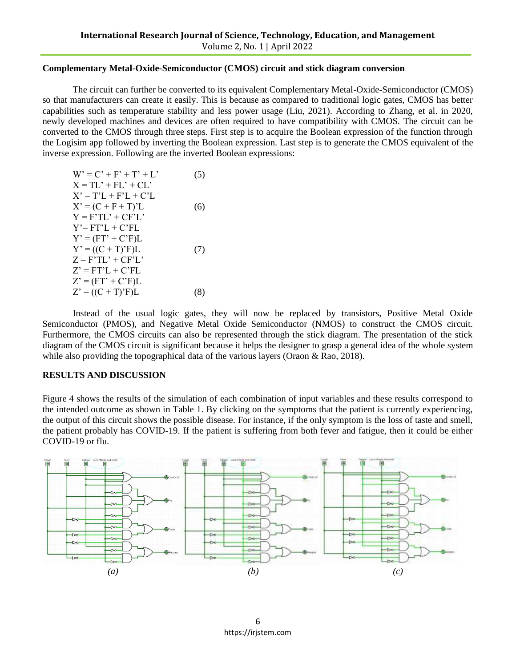#### **Complementary Metal-Oxide-Semiconductor (CMOS) circuit and stick diagram conversion**

The circuit can further be converted to its equivalent Complementary Metal-Oxide-Semiconductor (CMOS) so that manufacturers can create it easily. This is because as compared to traditional logic gates, CMOS has better capabilities such as temperature stability and less power usage (Liu, 2021). According to Zhang, et al. in 2020, newly developed machines and devices are often required to have compatibility with CMOS. The circuit can be converted to the CMOS through three steps. First step is to acquire the Boolean expression of the function through the Logisim app followed by inverting the Boolean expression. Last step is to generate the CMOS equivalent of the inverse expression. Following are the inverted Boolean expressions:

| $W' = C' + F' + T' + L'$ | (5) |
|--------------------------|-----|
| $X = TL' + FL' + CL'$    |     |
| $X' = T'L + F'L + C'L$   |     |
| $X' = (C + F + T)'L$     | (6) |
| $Y = F'TL' + CF'L'$      |     |
| Y'= FT'L + C'FL          |     |
| $Y' = (FT' + C'F)L$      |     |
| $Y' = ((C + T)'F)L$      | (7) |
| $Z = F'TL' + CF'L'$      |     |
| $Z' = FT'L + C'FL$       |     |
| $Z' = (FT' + C'F)L$      |     |
| $Z' = ((C + T)'F)L$      | (8) |

Instead of the usual logic gates, they will now be replaced by transistors, Positive Metal Oxide Semiconductor (PMOS), and Negative Metal Oxide Semiconductor (NMOS) to construct the CMOS circuit. Furthermore, the CMOS circuits can also be represented through the stick diagram. The presentation of the stick diagram of the CMOS circuit is significant because it helps the designer to grasp a general idea of the whole system while also providing the topographical data of the various layers (Oraon & Rao, 2018).

### **RESULTS AND DISCUSSION**

Figure 4 shows the results of the simulation of each combination of input variables and these results correspond to the intended outcome as shown in Table 1. By clicking on the symptoms that the patient is currently experiencing, the output of this circuit shows the possible disease. For instance, if the only symptom is the loss of taste and smell, the patient probably has COVID-19. If the patient is suffering from both fever and fatigue, then it could be either COVID-19 or flu.

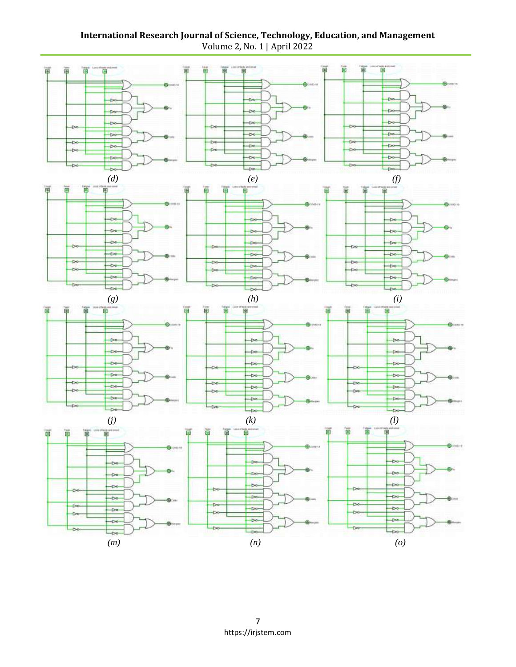**International Research Journal of Science, Technology, Education, and Management** Volume 2, No. 1 | April 2022

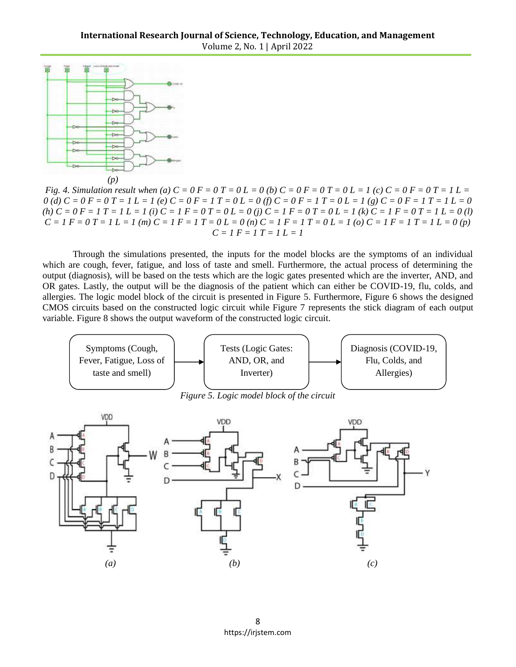

*Fig. 4. Simulation result when* (a)  $C = 0$   $F = 0$   $T = 0$   $L = 0$  (b)  $C = 0$   $F = 0$   $T = 0$   $L = 1$  (c)  $C = 0$   $F = 0$   $T = 1$   $L =$  $0$  (d)  $C = 0$   $F = 0$   $T = 1$   $L = 1$  (e)  $C = 0$   $F = 1$   $T = 0$   $L = 0$  (f)  $C = 0$   $F = 1$   $T = 0$   $L = 1$  (g)  $C = 0$   $F = 1$   $T = 1$   $L = 0$ (h)  $C = 0 F = 1 T = 1 L = 1$  (i)  $C = 1 F = 0 T = 0 L = 0$  (j)  $C = 1 F = 0 T = 0 L = 1$  (k)  $C = 1 F = 0 T = 1 L = 0$  (l)  $C = I F = 0 T = I L = I (m) C = I F = I T = 0 L = 0 (n) C = I F = I T = 0 L = I (o) C = I F = I T = I L = 0 (p)$  $C = I F = I T = I L = I$ 

Through the simulations presented, the inputs for the model blocks are the symptoms of an individual which are cough, fever, fatigue, and loss of taste and smell. Furthermore, the actual process of determining the output (diagnosis), will be based on the tests which are the logic gates presented which are the inverter, AND, and OR gates. Lastly, the output will be the diagnosis of the patient which can either be COVID-19, flu, colds, and allergies. The logic model block of the circuit is presented in Figure 5. Furthermore, Figure 6 shows the designed CMOS circuits based on the constructed logic circuit while Figure 7 represents the stick diagram of each output variable. Figure 8 shows the output waveform of the constructed logic circuit.



8 https://irjstem.com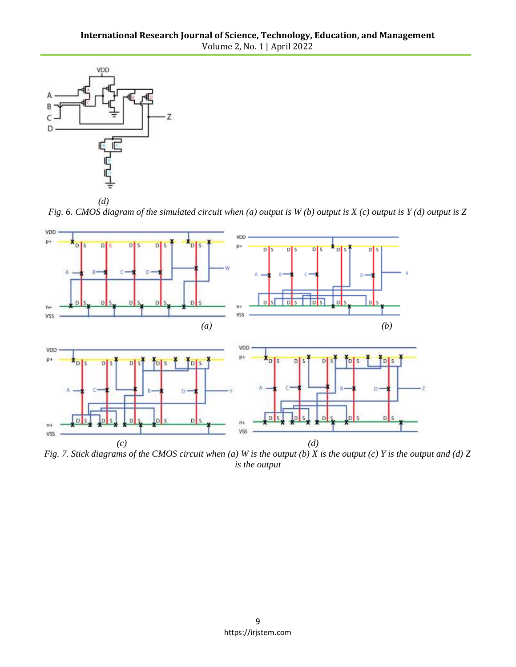

*Fig. 6. CMOS diagram of the simulated circuit when (a) output is W (b) output is X (c) output is Y (d) output is Z* 



*Fig. 7. Stick diagrams of the CMOS circuit when (a) W is the output (b) X is the output (c) Y is the output and (d) Z is the output*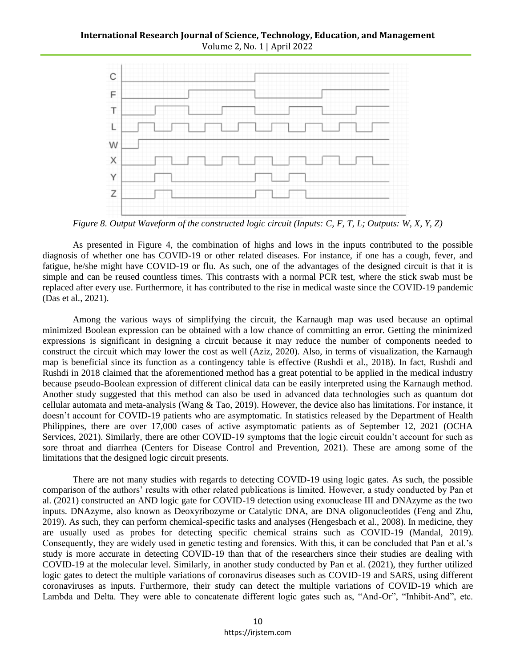## **International Research Journal of Science, Technology, Education, and Management** Volume 2, No. 1 | April 2022



*Figure 8. Output Waveform of the constructed logic circuit (Inputs: C, F, T, L; Outputs: W, X, Y, Z)*

As presented in Figure 4, the combination of highs and lows in the inputs contributed to the possible diagnosis of whether one has COVID-19 or other related diseases. For instance, if one has a cough, fever, and fatigue, he/she might have COVID-19 or flu. As such, one of the advantages of the designed circuit is that it is simple and can be reused countless times. This contrasts with a normal PCR test, where the stick swab must be replaced after every use. Furthermore, it has contributed to the rise in medical waste since the COVID-19 pandemic (Das et al., 2021).

Among the various ways of simplifying the circuit, the Karnaugh map was used because an optimal minimized Boolean expression can be obtained with a low chance of committing an error. Getting the minimized expressions is significant in designing a circuit because it may reduce the number of components needed to construct the circuit which may lower the cost as well (Aziz, 2020). Also, in terms of visualization, the Karnaugh map is beneficial since its function as a contingency table is effective (Rushdi et al., 2018). In fact, Rushdi and Rushdi in 2018 claimed that the aforementioned method has a great potential to be applied in the medical industry because pseudo-Boolean expression of different clinical data can be easily interpreted using the Karnaugh method. Another study suggested that this method can also be used in advanced data technologies such as quantum dot cellular automata and meta-analysis (Wang & Tao, 2019). However, the device also has limitations. For instance, it doesn't account for COVID-19 patients who are asymptomatic. In statistics released by the Department of Health Philippines, there are over 17,000 cases of active asymptomatic patients as of September 12, 2021 (OCHA Services, 2021). Similarly, there are other COVID-19 symptoms that the logic circuit couldn't account for such as sore throat and diarrhea (Centers for Disease Control and Prevention, 2021). These are among some of the limitations that the designed logic circuit presents.

There are not many studies with regards to detecting COVID-19 using logic gates. As such, the possible comparison of the authors' results with other related publications is limited. However, a study conducted by Pan et al. (2021) constructed an AND logic gate for COVID-19 detection using exonuclease III and DNAzyme as the two inputs. DNAzyme, also known as Deoxyribozyme or Catalytic DNA, are DNA oligonucleotides (Feng and Zhu, 2019). As such, they can perform chemical-specific tasks and analyses (Hengesbach et al., 2008). In medicine, they are usually used as probes for detecting specific chemical strains such as COVID-19 (Mandal, 2019). Consequently, they are widely used in genetic testing and forensics. With this, it can be concluded that Pan et al.'s study is more accurate in detecting COVID-19 than that of the researchers since their studies are dealing with COVID-19 at the molecular level. Similarly, in another study conducted by Pan et al. (2021), they further utilized logic gates to detect the multiple variations of coronavirus diseases such as COVID-19 and SARS, using different coronaviruses as inputs. Furthermore, their study can detect the multiple variations of COVID-19 which are Lambda and Delta. They were able to concatenate different logic gates such as, "And-Or", "Inhibit-And", etc.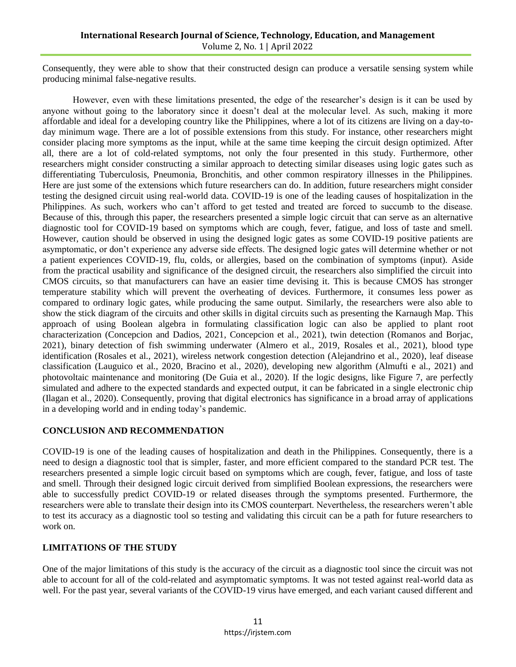Consequently, they were able to show that their constructed design can produce a versatile sensing system while producing minimal false-negative results.

However, even with these limitations presented, the edge of the researcher's design is it can be used by anyone without going to the laboratory since it doesn't deal at the molecular level. As such, making it more affordable and ideal for a developing country like the Philippines, where a lot of its citizens are living on a day-today minimum wage. There are a lot of possible extensions from this study. For instance, other researchers might consider placing more symptoms as the input, while at the same time keeping the circuit design optimized. After all, there are a lot of cold-related symptoms, not only the four presented in this study. Furthermore, other researchers might consider constructing a similar approach to detecting similar diseases using logic gates such as differentiating Tuberculosis, Pneumonia, Bronchitis, and other common respiratory illnesses in the Philippines. Here are just some of the extensions which future researchers can do. In addition, future researchers might consider testing the designed circuit using real-world data. COVID-19 is one of the leading causes of hospitalization in the Philippines. As such, workers who can't afford to get tested and treated are forced to succumb to the disease. Because of this, through this paper, the researchers presented a simple logic circuit that can serve as an alternative diagnostic tool for COVID-19 based on symptoms which are cough, fever, fatigue, and loss of taste and smell. However, caution should be observed in using the designed logic gates as some COVID-19 positive patients are asymptomatic, or don't experience any adverse side effects. The designed logic gates will determine whether or not a patient experiences COVID-19, flu, colds, or allergies, based on the combination of symptoms (input). Aside from the practical usability and significance of the designed circuit, the researchers also simplified the circuit into CMOS circuits, so that manufacturers can have an easier time devising it. This is because CMOS has stronger temperature stability which will prevent the overheating of devices. Furthermore, it consumes less power as compared to ordinary logic gates, while producing the same output. Similarly, the researchers were also able to show the stick diagram of the circuits and other skills in digital circuits such as presenting the Karnaugh Map. This approach of using Boolean algebra in formulating classification logic can also be applied to plant root characterization (Concepcion and Dadios, 2021, Concepcion et al., 2021), twin detection (Romanos and Borjac, 2021), binary detection of fish swimming underwater (Almero et al., 2019, Rosales et al., 2021), blood type identification (Rosales et al., 2021), wireless network congestion detection (Alejandrino et al., 2020), leaf disease classification (Lauguico et al., 2020, Bracino et al., 2020), developing new algorithm (Almufti e al., 2021) and photovoltaic maintenance and monitoring (De Guia et al., 2020). If the logic designs, like Figure 7, are perfectly simulated and adhere to the expected standards and expected output, it can be fabricated in a single electronic chip (Ilagan et al., 2020). Consequently, proving that digital electronics has significance in a broad array of applications in a developing world and in ending today's pandemic.

# **CONCLUSION AND RECOMMENDATION**

COVID-19 is one of the leading causes of hospitalization and death in the Philippines. Consequently, there is a need to design a diagnostic tool that is simpler, faster, and more efficient compared to the standard PCR test. The researchers presented a simple logic circuit based on symptoms which are cough, fever, fatigue, and loss of taste and smell. Through their designed logic circuit derived from simplified Boolean expressions, the researchers were able to successfully predict COVID-19 or related diseases through the symptoms presented. Furthermore, the researchers were able to translate their design into its CMOS counterpart. Nevertheless, the researchers weren't able to test its accuracy as a diagnostic tool so testing and validating this circuit can be a path for future researchers to work on.

### **LIMITATIONS OF THE STUDY**

One of the major limitations of this study is the accuracy of the circuit as a diagnostic tool since the circuit was not able to account for all of the cold-related and asymptomatic symptoms. It was not tested against real-world data as well. For the past year, several variants of the COVID-19 virus have emerged, and each variant caused different and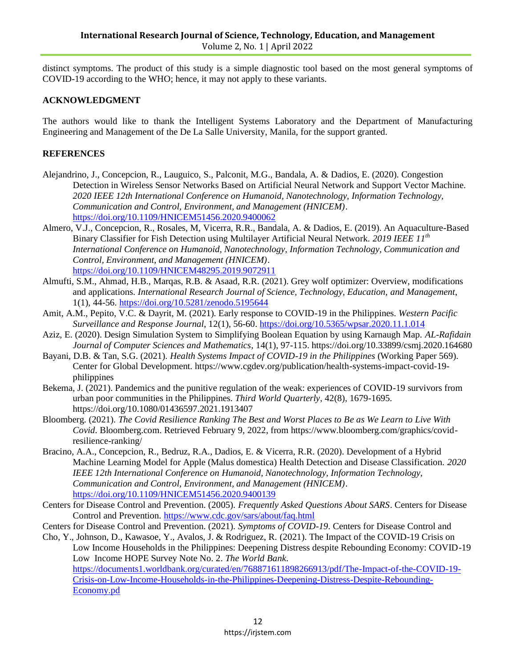distinct symptoms. The product of this study is a simple diagnostic tool based on the most general symptoms of COVID-19 according to the WHO; hence, it may not apply to these variants.

# **ACKNOWLEDGMENT**

The authors would like to thank the Intelligent Systems Laboratory and the Department of Manufacturing Engineering and Management of the De La Salle University, Manila, for the support granted.

# **REFERENCES**

- Alejandrino, J., Concepcion, R., Lauguico, S., Palconit, M.G., Bandala, A. & Dadios, E. (2020). Congestion Detection in Wireless Sensor Networks Based on Artificial Neural Network and Support Vector Machine. *2020 IEEE 12th International Conference on Humanoid, Nanotechnology, Information Technology, Communication and Control, Environment, and Management (HNICEM)*. <https://doi.org/10.1109/HNICEM51456.2020.9400062>
- Almero, V.J., Concepcion, R., Rosales, M, Vicerra, R.R., Bandala, A. & Dadios, E. (2019). An Aquaculture-Based Binary Classifier for Fish Detection using Multilayer Artificial Neural Network. *2019 IEEE 11th International Conference on Humanoid, Nanotechnology, Information Technology, Communication and Control, Environment, and Management (HNICEM)*. <https://doi.org/10.1109/HNICEM48295.2019.9072911>
- Almufti, S.M., Ahmad, H.B., Marqas, R.B. & Asaad, R.R. (2021). Grey wolf optimizer: Overview, modifications and applications. *International Research Journal of Science, Technology, Education, and Management*, 1(1), 44-56.<https://doi.org/10.5281/zenodo.5195644>
- Amit, A.M., Pepito, V.C. & Dayrit, M. (2021). Early response to COVID-19 in the Philippines. *Western Pacific Surveillance and Response Journal*, 12(1), 56-60.<https://doi.org/10.5365/wpsar.2020.11.1.014>
- Aziz, E. (2020). Design Simulation System to Simplifying Boolean Equation by using Karnaugh Map. *AL-Rafidain Journal of Computer Sciences and Mathematics*, 14(1), 97-115. https://doi.org[/10.33899/csmj.2020.164680](http://dx.doi.org/10.33899/csmj.2020.164680)
- Bayani, D.B. & Tan, S.G. (2021). *Health Systems Impact of COVID-19 in the Philippines* (Working Paper 569). Center for Global Development. https://www.cgdev.org/publication/health-systems-impact-covid-19 philippines
- Bekema, J. (2021). Pandemics and the punitive regulation of the weak: experiences of COVID-19 survivors from urban poor communities in the Philippines. *Third World Quarterly*, 42(8), 1679-1695. <https://doi.org/10.1080/01436597.2021.1913407>
- Bloomberg. (2021). *The Covid Resilience Ranking The Best and Worst Places to Be as We Learn to Live With Covid*. Bloomberg.com. Retrieved February 9, 2022, from https://www.bloomberg.com/graphics/covidresilience-ranking/
- Bracino, A.A., Concepcion, R., Bedruz, R.A., Dadios, E. & Vicerra, R.R. (2020). Development of a Hybrid Machine Learning Model for Apple (Malus domestica) Health Detection and Disease Classification. *2020 IEEE 12th International Conference on Humanoid, Nanotechnology, Information Technology, Communication and Control, Environment, and Management (HNICEM)*. <https://doi.org/10.1109/HNICEM51456.2020.9400139>
- Centers for Disease Control and Prevention. (2005). *Frequently Asked Questions About SARS*. Centers for Disease Control and Prevention.<https://www.cdc.gov/sars/about/faq.html>
- Centers for Disease Control and Prevention. (2021). *Symptoms of COVID-19*. Centers for Disease Control and
- Cho, Y., Johnson, D., Kawasoe, Y., Avalos, J. & Rodriguez, R. (2021). The Impact of the COVID-19 Crisis on Low Income Households in the Philippines: Deepening Distress despite Rebounding Economy: COVID-19 Low Income HOPE Survey Note No. 2. *The World Bank*. [https://documents1.worldbank.org/curated/en/768871611898266913/pdf/The-Impact-of-the-COVID-19-](https://documents1.worldbank.org/curated/en/768871611898266913/pdf/The-Impact-of-the-COVID-19-Crisis-on-Low-Income-Households-in-the-Philippines-Deepening-Distress-Despite-Rebounding-Economy.pd) [Crisis-on-Low-Income-Households-in-the-Philippines-Deepening-Distress-Despite-Rebounding-](https://documents1.worldbank.org/curated/en/768871611898266913/pdf/The-Impact-of-the-COVID-19-Crisis-on-Low-Income-Households-in-the-Philippines-Deepening-Distress-Despite-Rebounding-Economy.pd)[Economy.pd](https://documents1.worldbank.org/curated/en/768871611898266913/pdf/The-Impact-of-the-COVID-19-Crisis-on-Low-Income-Households-in-the-Philippines-Deepening-Distress-Despite-Rebounding-Economy.pd)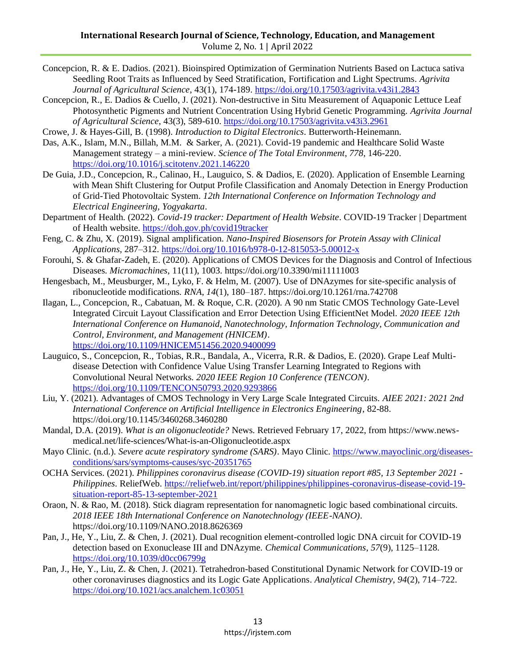- Concepcion, R. & E. Dadios. (2021). Bioinspired Optimization of Germination Nutrients Based on Lactuca sativa Seedling Root Traits as Influenced by Seed Stratification, Fortification and Light Spectrums. *Agrivita Journal of Agricultural Science*, 43(1), 174-189.<https://doi.org/10.17503/agrivita.v43i1.2843>
- Concepcion, R., E. Dadios & Cuello, J. (2021). Non-destructive in Situ Measurement of Aquaponic Lettuce Leaf Photosynthetic Pigments and Nutrient Concentration Using Hybrid Genetic Programming. *Agrivita Journal of Agricultural Science*, 43(3), 589-610.<https://doi.org/10.17503/agrivita.v43i3.2961>
- Crowe, J. & Hayes-Gill, B. (1998). *Introduction to Digital Electronics*. Butterworth-Heinemann.
- Das, A.K., Islam, M.N., Billah, M.M. & Sarker, A. (2021). Covid-19 pandemic and Healthcare Solid Waste Management strategy – a mini-review. *Science of The Total Environment*, *778*, 146-220. <https://doi.org/10.1016/j.scitotenv.2021.146220>
- De Guia, J.D., Concepcion, R., Calinao, H., Lauguico, S. & Dadios, E. (2020). Application of Ensemble Learning with Mean Shift Clustering for Output Profile Classification and Anomaly Detection in Energy Production of Grid-Tied Photovoltaic System. *12th International Conference on Information Technology and Electrical Engineering, Yogyakarta*.
- Department of Health. (2022). *Covid-19 tracker: Department of Health Website*. COVID-19 Tracker | Department of Health website.<https://doh.gov.ph/covid19tracker>
- Feng, C. & Zhu, X. (2019). Signal amplification. *Nano-Inspired Biosensors for Protein Assay with Clinical Applications*, 287–312.<https://doi.org/10.1016/b978-0-12-815053-5.00012-x>
- Forouhi, S. & Ghafar-Zadeh, E. (2020). Applications of CMOS Devices for the Diagnosis and Control of Infectious Diseases. *Micromachines*, 11(11), 1003.<https://doi.org/10.3390/mi11111003>
- Hengesbach, M., Meusburger, M., Lyko, F. & Helm, M. (2007). Use of DNAzymes for site-specific analysis of ribonucleotide modifications. *RNA*, *14*(1), 180–187. https://doi.org/10.1261/rna.742708
- Ilagan, L., Concepcion, R., Cabatuan, M. & Roque, C.R. (2020). A 90 nm Static CMOS Technology Gate-Level Integrated Circuit Layout Classification and Error Detection Using EfficientNet Model. *2020 IEEE 12th International Conference on Humanoid, Nanotechnology, Information Technology, Communication and Control, Environment, and Management (HNICEM)*. <https://doi.org/10.1109/HNICEM51456.2020.9400099>
- Lauguico, S., Concepcion, R., Tobias, R.R., Bandala, A., Vicerra, R.R. & Dadios, E. (2020). Grape Leaf Multidisease Detection with Confidence Value Using Transfer Learning Integrated to Regions with Convolutional Neural Networks. *2020 IEEE Region 10 Conference (TENCON)*. <https://doi.org/10.1109/TENCON50793.2020.9293866>
- Liu, Y. (2021). Advantages of CMOS Technology in Very Large Scale Integrated Circuits*. [AIEE 2021: 2021 2nd](https://dl.acm.org/doi/proceedings/10.1145/3460268)  [International Conference on Artificial Intelligence in Electronics Engineering](https://dl.acm.org/doi/proceedings/10.1145/3460268)*, 82-88. <https://doi.org/10.1145/3460268.3460280>
- Mandal, D.A. (2019). *What is an oligonucleotide?* News. Retrieved February 17, 2022, from https://www.newsmedical.net/life-sciences/What-is-an-Oligonucleotide.aspx
- Mayo Clinic. (n.d.). *Severe acute respiratory syndrome (SARS)*. Mayo Clinic. [https://www.mayoclinic.org/diseases](https://www.mayoclinic.org/diseases-conditions/sars/symptoms-causes/syc-20351765)[conditions/sars/symptoms-causes/syc-20351765](https://www.mayoclinic.org/diseases-conditions/sars/symptoms-causes/syc-20351765)
- OCHA Services. (2021). *Philippines coronavirus disease (COVID-19) situation report #85, 13 September 2021 - Philippines*. ReliefWeb. [https://reliefweb.int/report/philippines/philippines-coronavirus-disease-covid-19](https://reliefweb.int/report/philippines/philippines-coronavirus-disease-covid-19-situation-report-85-13-september-2021) [situation-report-85-13-september-2021](https://reliefweb.int/report/philippines/philippines-coronavirus-disease-covid-19-situation-report-85-13-september-2021)
- Oraon, N. & Rao, M. (2018). Stick diagram representation for nanomagnetic logic based combinational circuits. *[2018 IEEE 18th International Conference on Nanotechnology \(IEEE-NANO\)](https://ieeexplore.ieee.org/xpl/conhome/8603673/proceeding)*. [https://doi.org/10.1109/NANO.2018.8626369](https://doi.org/10.1145/3460268.3460280)
- Pan, J., He, Y., Liu, Z. & Chen, J. (2021). Dual recognition element-controlled logic DNA circuit for COVID-19 detection based on Exonuclease III and DNAzyme. *Chemical Communications*, *57*(9), 1125–1128. <https://doi.org/10.1039/d0cc06799g>
- Pan, J., He, Y., Liu, Z. & Chen, J. (2021). Tetrahedron-based Constitutional Dynamic Network for COVID-19 or other coronaviruses diagnostics and its Logic Gate Applications. *Analytical Chemistry*, *94*(2), 714–722. <https://doi.org/10.1021/acs.analchem.1c03051>